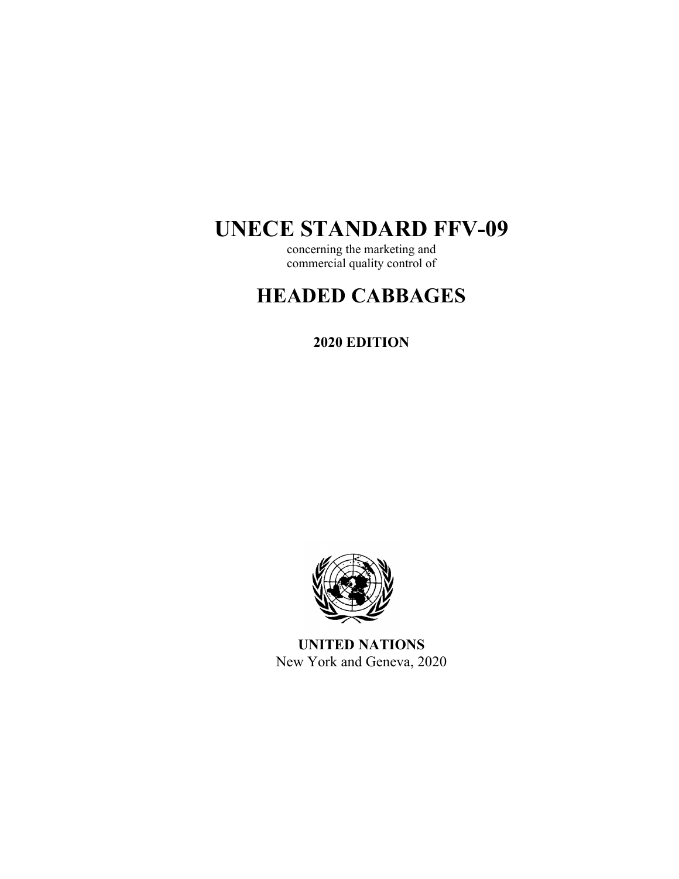# **UNECE STANDARD FFV-09**

concerning the marketing and commercial quality control of

# **HEADED CABBAGES**

**2020 EDITION** 



**UNITED NATIONS**  New York and Geneva, 2020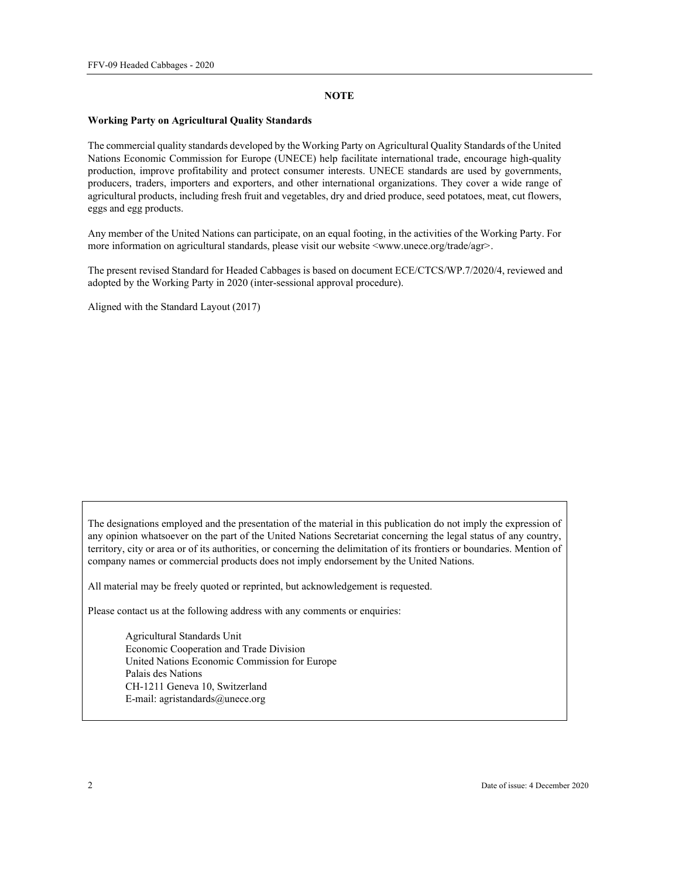#### **NOTE**

#### **Working Party on Agricultural Quality Standards**

The commercial quality standards developed by the Working Party on Agricultural Quality Standards of the United Nations Economic Commission for Europe (UNECE) help facilitate international trade, encourage high-quality production, improve profitability and protect consumer interests. UNECE standards are used by governments, producers, traders, importers and exporters, and other international organizations. They cover a wide range of agricultural products, including fresh fruit and vegetables, dry and dried produce, seed potatoes, meat, cut flowers, eggs and egg products.

Any member of the United Nations can participate, on an equal footing, in the activities of the Working Party. For more information on agricultural standards, please visit our website  $\langle$ www.unece.org/trade/agr>.

The present revised Standard for Headed Cabbages is based on document ECE/CTCS/WP.7/2020/4, reviewed and adopted by the Working Party in 2020 (inter-sessional approval procedure).

Aligned with the Standard Layout (2017)

The designations employed and the presentation of the material in this publication do not imply the expression of any opinion whatsoever on the part of the United Nations Secretariat concerning the legal status of any country, territory, city or area or of its authorities, or concerning the delimitation of its frontiers or boundaries. Mention of company names or commercial products does not imply endorsement by the United Nations.

All material may be freely quoted or reprinted, but acknowledgement is requested.

Please contact us at the following address with any comments or enquiries:

Agricultural Standards Unit Economic Cooperation and Trade Division United Nations Economic Commission for Europe Palais des Nations CH-1211 Geneva 10, Switzerland E-mail: agristandards@unece.org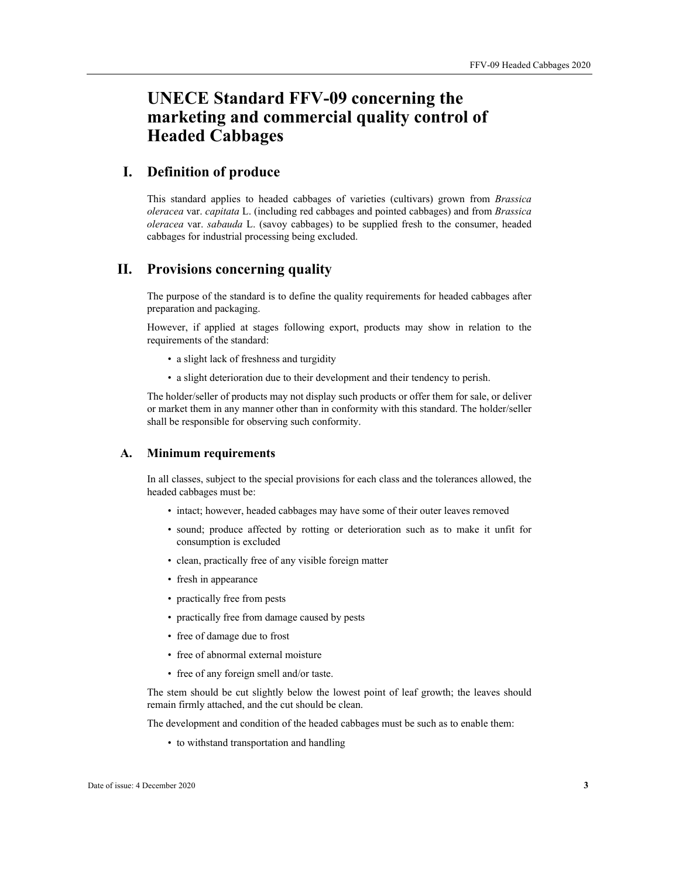# **UNECE Standard FFV-09 concerning the marketing and commercial quality control of Headed Cabbages**

# **I. Definition of produce**

This standard applies to headed cabbages of varieties (cultivars) grown from *Brassica oleracea* var. *capitata* L. (including red cabbages and pointed cabbages) and from *Brassica oleracea* var. *sabauda* L. (savoy cabbages) to be supplied fresh to the consumer, headed cabbages for industrial processing being excluded.

# **II. Provisions concerning quality**

The purpose of the standard is to define the quality requirements for headed cabbages after preparation and packaging.

However, if applied at stages following export, products may show in relation to the requirements of the standard:

- a slight lack of freshness and turgidity
- a slight deterioration due to their development and their tendency to perish.

The holder/seller of products may not display such products or offer them for sale, or deliver or market them in any manner other than in conformity with this standard. The holder/seller shall be responsible for observing such conformity.

#### **A. Minimum requirements**

In all classes, subject to the special provisions for each class and the tolerances allowed, the headed cabbages must be:

- intact; however, headed cabbages may have some of their outer leaves removed
- sound; produce affected by rotting or deterioration such as to make it unfit for consumption is excluded
- clean, practically free of any visible foreign matter
- fresh in appearance
- practically free from pests
- practically free from damage caused by pests
- free of damage due to frost
- free of abnormal external moisture
- free of any foreign smell and/or taste.

The stem should be cut slightly below the lowest point of leaf growth; the leaves should remain firmly attached, and the cut should be clean.

The development and condition of the headed cabbages must be such as to enable them:

• to withstand transportation and handling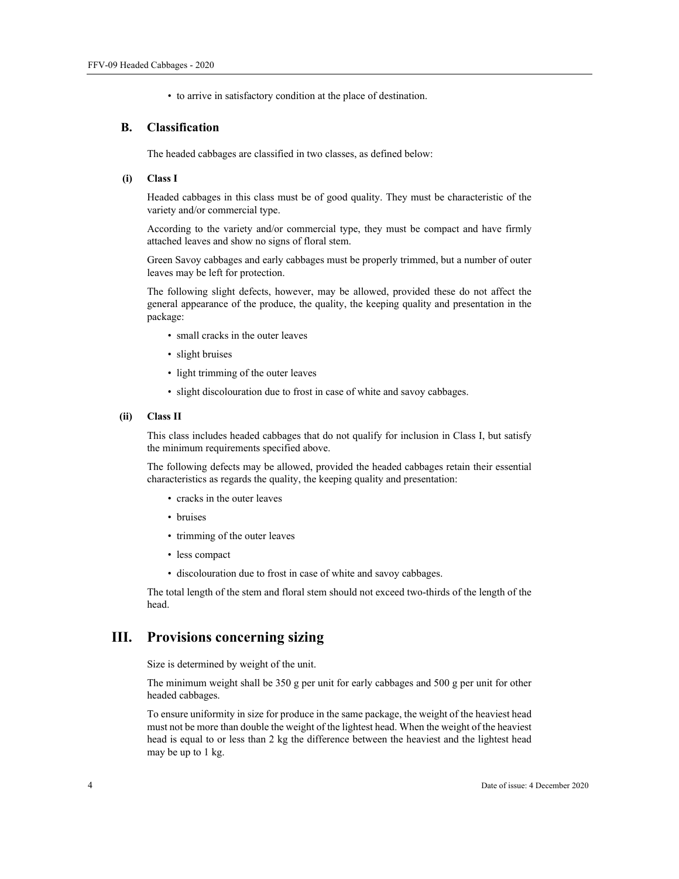• to arrive in satisfactory condition at the place of destination.

#### **B. Classification**

The headed cabbages are classified in two classes, as defined below:

#### **(i) Class I**

Headed cabbages in this class must be of good quality. They must be characteristic of the variety and/or commercial type.

According to the variety and/or commercial type, they must be compact and have firmly attached leaves and show no signs of floral stem.

Green Savoy cabbages and early cabbages must be properly trimmed, but a number of outer leaves may be left for protection.

The following slight defects, however, may be allowed, provided these do not affect the general appearance of the produce, the quality, the keeping quality and presentation in the package:

- small cracks in the outer leaves
- slight bruises
- light trimming of the outer leaves
- slight discolouration due to frost in case of white and savoy cabbages.

#### **(ii) Class II**

This class includes headed cabbages that do not qualify for inclusion in Class I, but satisfy the minimum requirements specified above.

The following defects may be allowed, provided the headed cabbages retain their essential characteristics as regards the quality, the keeping quality and presentation:

- cracks in the outer leaves
- bruises
- trimming of the outer leaves
- less compact
- discolouration due to frost in case of white and savoy cabbages.

The total length of the stem and floral stem should not exceed two-thirds of the length of the head.

## **III. Provisions concerning sizing**

Size is determined by weight of the unit.

The minimum weight shall be 350 g per unit for early cabbages and 500 g per unit for other headed cabbages.

To ensure uniformity in size for produce in the same package, the weight of the heaviest head must not be more than double the weight of the lightest head. When the weight of the heaviest head is equal to or less than 2 kg the difference between the heaviest and the lightest head may be up to 1 kg.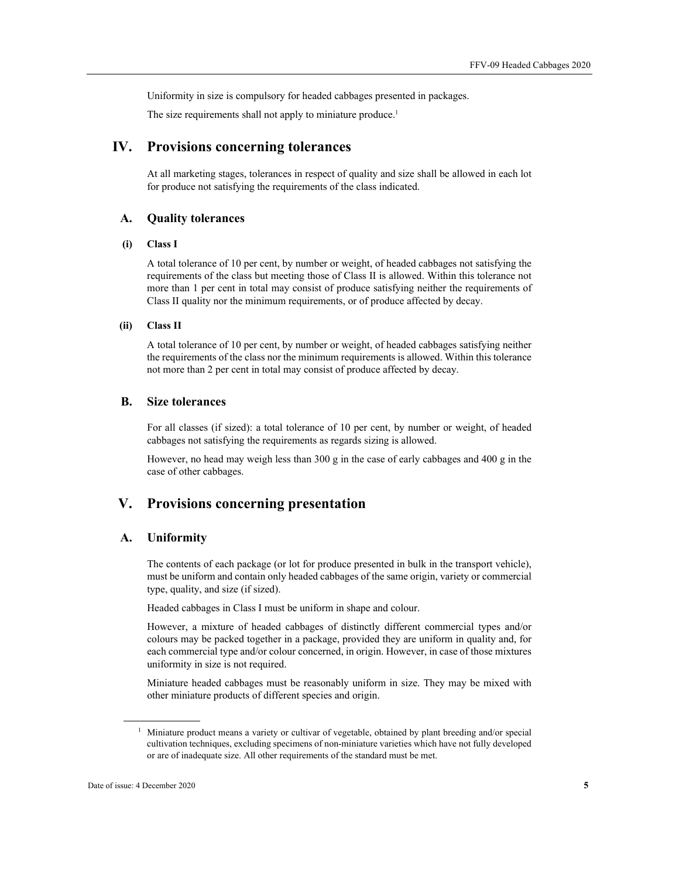Uniformity in size is compulsory for headed cabbages presented in packages.

The size requirements shall not apply to miniature produce.<sup>1</sup>

# **IV. Provisions concerning tolerances**

At all marketing stages, tolerances in respect of quality and size shall be allowed in each lot for produce not satisfying the requirements of the class indicated.

#### **A. Quality tolerances**

#### **(i) Class I**

A total tolerance of 10 per cent, by number or weight, of headed cabbages not satisfying the requirements of the class but meeting those of Class II is allowed. Within this tolerance not more than 1 per cent in total may consist of produce satisfying neither the requirements of Class II quality nor the minimum requirements, or of produce affected by decay.

#### **(ii) Class II**

A total tolerance of 10 per cent, by number or weight, of headed cabbages satisfying neither the requirements of the class nor the minimum requirements is allowed. Within this tolerance not more than 2 per cent in total may consist of produce affected by decay.

#### **B. Size tolerances**

For all classes (if sized): a total tolerance of 10 per cent, by number or weight, of headed cabbages not satisfying the requirements as regards sizing is allowed.

However, no head may weigh less than 300 g in the case of early cabbages and 400 g in the case of other cabbages.

# **V. Provisions concerning presentation**

#### **A. Uniformity**

The contents of each package (or lot for produce presented in bulk in the transport vehicle), must be uniform and contain only headed cabbages of the same origin, variety or commercial type, quality, and size (if sized).

Headed cabbages in Class I must be uniform in shape and colour.

However, a mixture of headed cabbages of distinctly different commercial types and/or colours may be packed together in a package, provided they are uniform in quality and, for each commercial type and/or colour concerned, in origin. However, in case of those mixtures uniformity in size is not required.

Miniature headed cabbages must be reasonably uniform in size. They may be mixed with other miniature products of different species and origin.

 $\overline{a}$ 

<sup>&</sup>lt;sup>1</sup> Miniature product means a variety or cultivar of vegetable, obtained by plant breeding and/or special cultivation techniques, excluding specimens of non-miniature varieties which have not fully developed or are of inadequate size. All other requirements of the standard must be met.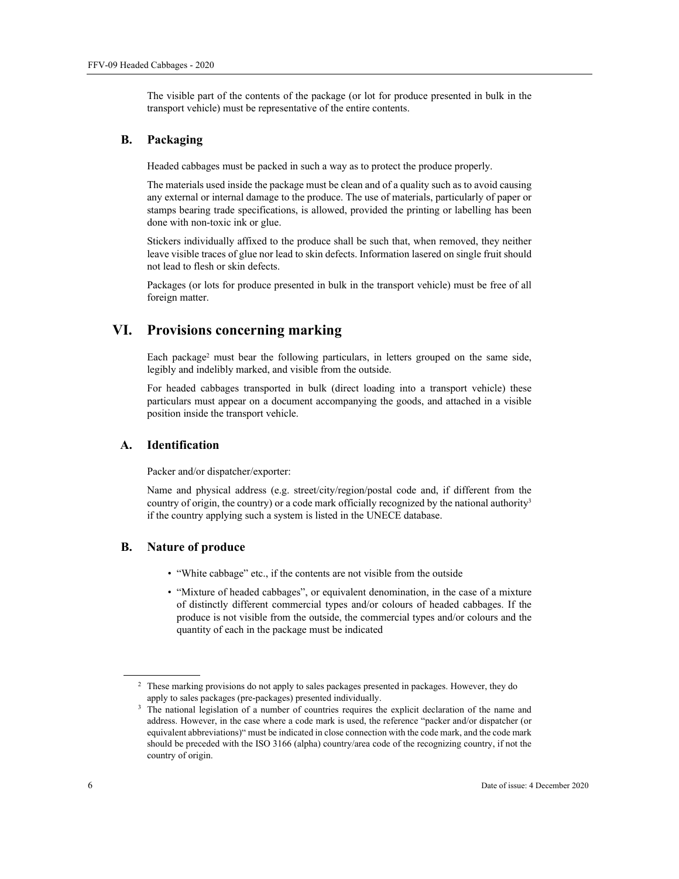The visible part of the contents of the package (or lot for produce presented in bulk in the transport vehicle) must be representative of the entire contents.

#### **B. Packaging**

Headed cabbages must be packed in such a way as to protect the produce properly.

The materials used inside the package must be clean and of a quality such as to avoid causing any external or internal damage to the produce. The use of materials, particularly of paper or stamps bearing trade specifications, is allowed, provided the printing or labelling has been done with non-toxic ink or glue.

Stickers individually affixed to the produce shall be such that, when removed, they neither leave visible traces of glue nor lead to skin defects. Information lasered on single fruit should not lead to flesh or skin defects.

Packages (or lots for produce presented in bulk in the transport vehicle) must be free of all foreign matter.

## **VI. Provisions concerning marking**

Each package<sup>2</sup> must bear the following particulars, in letters grouped on the same side, legibly and indelibly marked, and visible from the outside.

For headed cabbages transported in bulk (direct loading into a transport vehicle) these particulars must appear on a document accompanying the goods, and attached in a visible position inside the transport vehicle.

#### **A. Identification**

Packer and/or dispatcher/exporter:

Name and physical address (e.g. street/city/region/postal code and, if different from the country of origin, the country) or a code mark officially recognized by the national authority<sup>3</sup> if the country applying such a system is listed in the UNECE database.

#### **B. Nature of produce**

- "White cabbage" etc., if the contents are not visible from the outside
- "Mixture of headed cabbages", or equivalent denomination, in the case of a mixture of distinctly different commercial types and/or colours of headed cabbages. If the produce is not visible from the outside, the commercial types and/or colours and the quantity of each in the package must be indicated

 $\overline{a}$ 

<sup>&</sup>lt;sup>2</sup> These marking provisions do not apply to sales packages presented in packages. However, they do

apply to sales packages (pre-packages) presented individually.<br><sup>3</sup> The national legislation of a number of countries requires the explicit declaration of the name and address. However, in the case where a code mark is used, the reference "packer and/or dispatcher (or equivalent abbreviations)" must be indicated in close connection with the code mark, and the code mark should be preceded with the ISO 3166 (alpha) country/area code of the recognizing country, if not the country of origin.